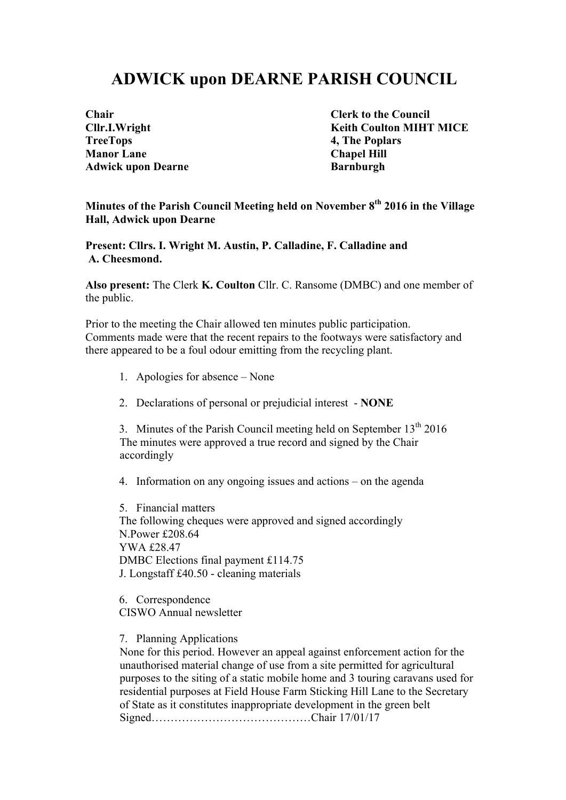## **ADWICK upon DEARNE PARISH COUNCIL**

| Chair                    |
|--------------------------|
| Cllr.I.Wright            |
| <b>TreeTops</b>          |
| <b>Manor Lane</b>        |
| <b>Adwick upon Dearn</b> |

**Clerk to the Council Keith Coulton MIHT MICE 4, The Poplars Chapel Hill Adwired Barnburgh Barnburgh** 

**Minutes of the Parish Council Meeting held on November 8th 2016 in the Village Hall, Adwick upon Dearne**

**Present: Cllrs. I. Wright M. Austin, P. Calladine, F. Calladine and A. Cheesmond.**

**Also present:** The Clerk **K. Coulton** Cllr. C. Ransome (DMBC) and one member of the public.

Prior to the meeting the Chair allowed ten minutes public participation. Comments made were that the recent repairs to the footways were satisfactory and there appeared to be a foul odour emitting from the recycling plant.

- 1. Apologies for absence None
- 2. Declarations of personal or prejudicial interest **NONE**

3. Minutes of the Parish Council meeting held on September  $13<sup>th</sup> 2016$ The minutes were approved a true record and signed by the Chair accordingly

4. Information on any ongoing issues and actions – on the agenda

5. Financial matters The following cheques were approved and signed accordingly N.Power £208.64 YWA £28.47 DMBC Elections final payment £114.75 J. Longstaff £40.50 - cleaning materials

6. Correspondence CISWO Annual newsletter

7. Planning Applications

None for this period. However an appeal against enforcement action for the unauthorised material change of use from a site permitted for agricultural purposes to the siting of a static mobile home and 3 touring caravans used for residential purposes at Field House Farm Sticking Hill Lane to the Secretary of State as it constitutes inappropriate development in the green belt Signed……………………………………Chair 17/01/17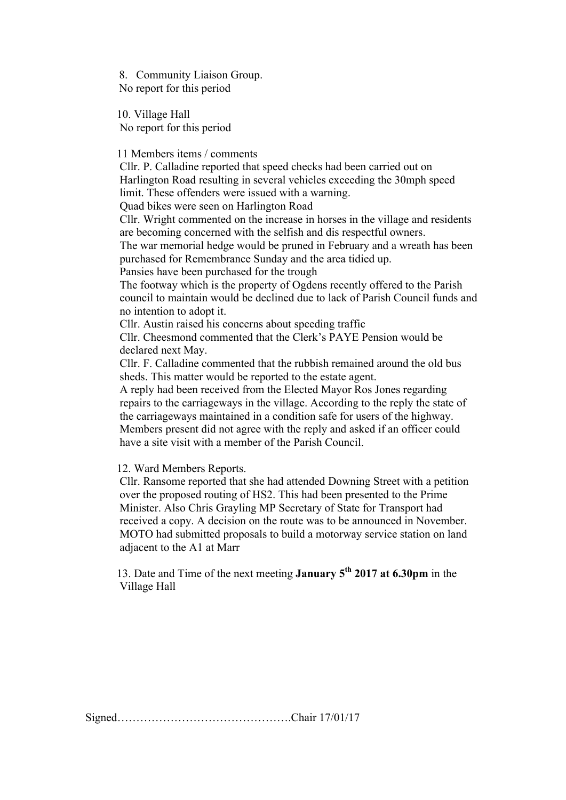8. Community Liaison Group. No report for this period

10. Village Hall No report for this period

11 Members items / comments

 Cllr. P. Calladine reported that speed checks had been carried out on Harlington Road resulting in several vehicles exceeding the 30mph speed limit. These offenders were issued with a warning.

Quad bikes were seen on Harlington Road

Cllr. Wright commented on the increase in horses in the village and residents are becoming concerned with the selfish and dis respectful owners.

The war memorial hedge would be pruned in February and a wreath has been purchased for Remembrance Sunday and the area tidied up.

Pansies have been purchased for the trough

The footway which is the property of Ogdens recently offered to the Parish council to maintain would be declined due to lack of Parish Council funds and no intention to adopt it.

Cllr. Austin raised his concerns about speeding traffic

Cllr. Cheesmond commented that the Clerk's PAYE Pension would be declared next May.

Cllr. F. Calladine commented that the rubbish remained around the old bus sheds. This matter would be reported to the estate agent.

A reply had been received from the Elected Mayor Ros Jones regarding repairs to the carriageways in the village. According to the reply the state of the carriageways maintained in a condition safe for users of the highway. Members present did not agree with the reply and asked if an officer could have a site visit with a member of the Parish Council.

12. Ward Members Reports.

Cllr. Ransome reported that she had attended Downing Street with a petition over the proposed routing of HS2. This had been presented to the Prime Minister. Also Chris Grayling MP Secretary of State for Transport had received a copy. A decision on the route was to be announced in November. MOTO had submitted proposals to build a motorway service station on land adjacent to the A1 at Marr

13. Date and Time of the next meeting **January 5th 2017 at 6.30pm** in the Village Hall

Signed……………………………………….Chair 17/01/17